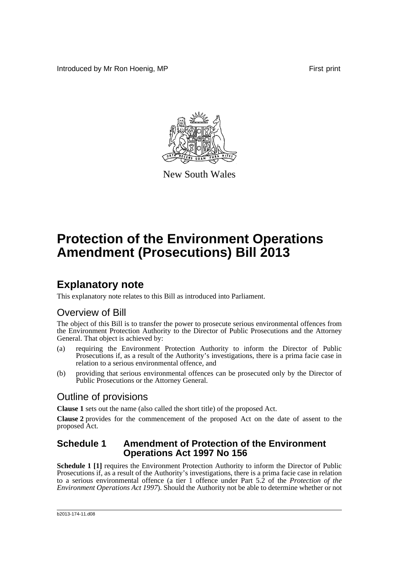Introduced by Mr Ron Hoenig, MP **First** print



New South Wales

# **Protection of the Environment Operations Amendment (Prosecutions) Bill 2013**

## **Explanatory note**

This explanatory note relates to this Bill as introduced into Parliament.

### Overview of Bill

The object of this Bill is to transfer the power to prosecute serious environmental offences from the Environment Protection Authority to the Director of Public Prosecutions and the Attorney General. That object is achieved by:

- (a) requiring the Environment Protection Authority to inform the Director of Public Prosecutions if, as a result of the Authority's investigations, there is a prima facie case in relation to a serious environmental offence, and
- (b) providing that serious environmental offences can be prosecuted only by the Director of Public Prosecutions or the Attorney General.

### Outline of provisions

**Clause 1** sets out the name (also called the short title) of the proposed Act.

**Clause 2** provides for the commencement of the proposed Act on the date of assent to the proposed Act.

#### **Schedule 1 Amendment of Protection of the Environment Operations Act 1997 No 156**

**Schedule 1 [1]** requires the Environment Protection Authority to inform the Director of Public Prosecutions if, as a result of the Authority's investigations, there is a prima facie case in relation to a serious environmental offence (a tier 1 offence under Part 5.2 of the *Protection of the Environment Operations Act 1997*). Should the Authority not be able to determine whether or not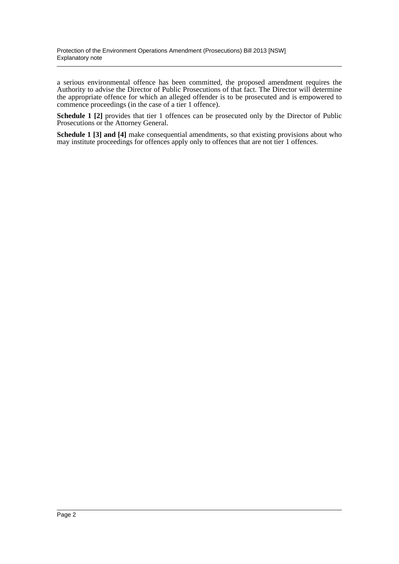a serious environmental offence has been committed, the proposed amendment requires the Authority to advise the Director of Public Prosecutions of that fact. The Director will determine the appropriate offence for which an alleged offender is to be prosecuted and is empowered to commence proceedings (in the case of a tier 1 offence).

**Schedule 1 [2]** provides that tier 1 offences can be prosecuted only by the Director of Public Prosecutions or the Attorney General.

**Schedule 1 [3] and [4]** make consequential amendments, so that existing provisions about who may institute proceedings for offences apply only to offences that are not tier 1 offences.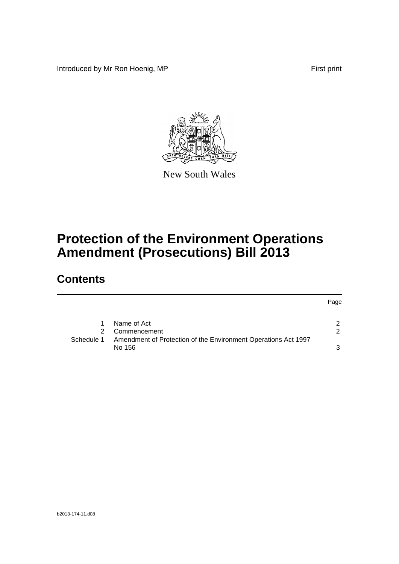Introduced by Mr Ron Hoenig, MP **First** print

Page



New South Wales

# **Protection of the Environment Operations Amendment (Prosecutions) Bill 2013**

### **Contents**

|            |                                                                | <b>Page</b>   |
|------------|----------------------------------------------------------------|---------------|
|            |                                                                |               |
|            | Name of Act                                                    |               |
|            | Commencement                                                   | $\mathcal{P}$ |
| Schedule 1 | Amendment of Protection of the Environment Operations Act 1997 |               |
|            | No 156                                                         |               |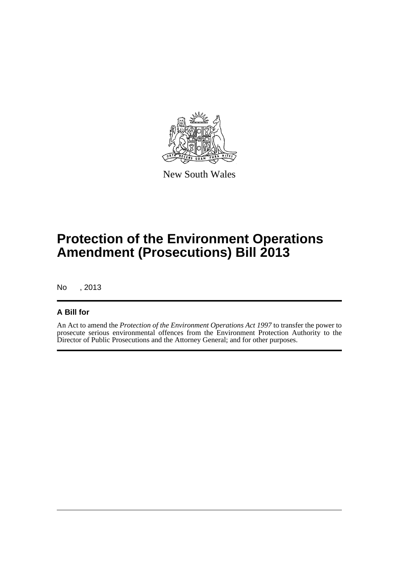

New South Wales

## **Protection of the Environment Operations Amendment (Prosecutions) Bill 2013**

No , 2013

#### **A Bill for**

An Act to amend the *Protection of the Environment Operations Act 1997* to transfer the power to prosecute serious environmental offences from the Environment Protection Authority to the Director of Public Prosecutions and the Attorney General; and for other purposes.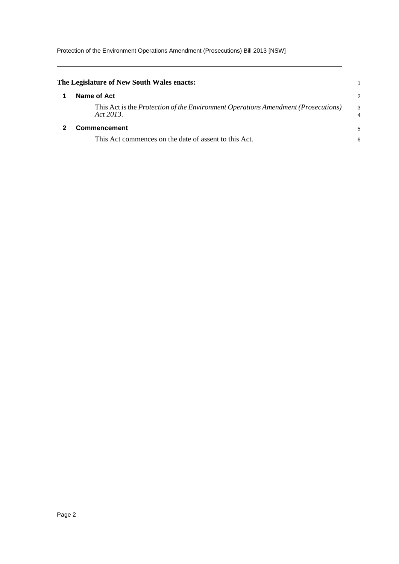Protection of the Environment Operations Amendment (Prosecutions) Bill 2013 [NSW]

<span id="page-4-1"></span><span id="page-4-0"></span>

| The Legislature of New South Wales enacts:                                                            |                     |  |
|-------------------------------------------------------------------------------------------------------|---------------------|--|
| Name of Act                                                                                           | 2                   |  |
| This Act is the <i>Protection of the Environment Operations Amendment (Prosecutions)</i><br>Act 2013. | 3<br>$\overline{4}$ |  |
| Commencement                                                                                          |                     |  |
| This Act commences on the date of assent to this Act.                                                 | 6                   |  |